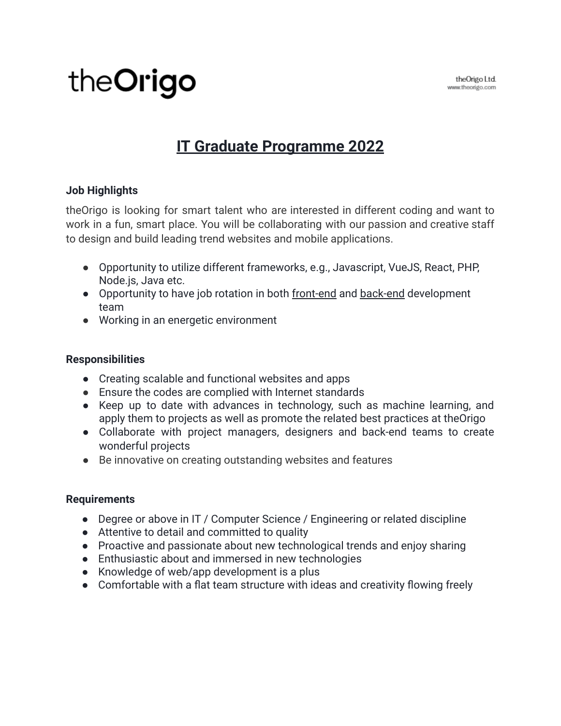# theOrigo

# **IT Graduate Programme 2022**

### **Job Highlights**

theOrigo is looking for smart talent who are interested in different coding and want to work in a fun, smart place. You will be collaborating with our passion and creative staff to design and build leading trend websites and mobile applications.

- Opportunity to utilize different frameworks, e.g., Javascript, VueJS, React, PHP, Node.js, Java etc.
- Opportunity to have job rotation in both front-end and back-end development team
- Working in an energetic environment

#### **Responsibilities**

- Creating scalable and functional websites and apps
- Ensure the codes are complied with Internet standards
- Keep up to date with advances in technology, such as machine learning, and apply them to projects as well as promote the related best practices at theOrigo
- Collaborate with project managers, designers and back-end teams to create wonderful projects
- Be innovative on creating outstanding websites and features

#### **Requirements**

- Degree or above in IT / Computer Science / Engineering or related discipline
- Attentive to detail and committed to quality
- Proactive and passionate about new technological trends and enjoy sharing
- Enthusiastic about and immersed in new technologies
- Knowledge of web/app development is a plus
- Comfortable with a flat team structure with ideas and creativity flowing freely